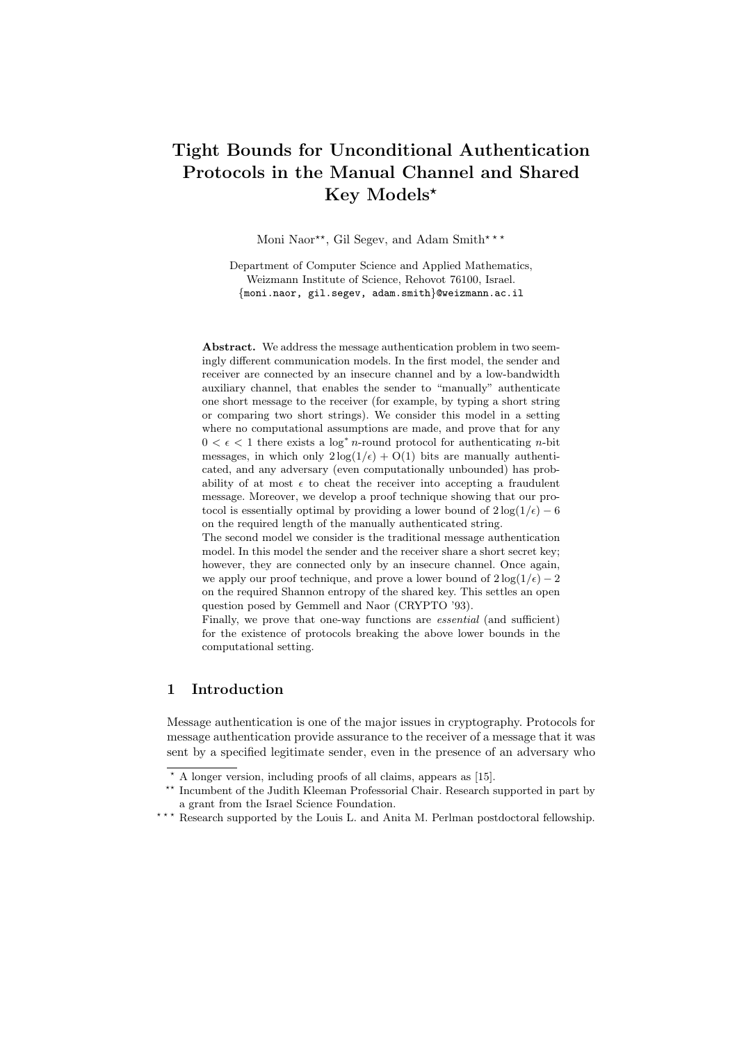# Tight Bounds for Unconditional Authentication Protocols in the Manual Channel and Shared Key Models?

Moni Naor<sup>\*\*</sup>, Gil Segev, and Adam Smith\* \*\*

Department of Computer Science and Applied Mathematics, Weizmann Institute of Science, Rehovot 76100, Israel. {moni.naor, gil.segev, adam.smith}@weizmann.ac.il

Abstract. We address the message authentication problem in two seemingly different communication models. In the first model, the sender and receiver are connected by an insecure channel and by a low-bandwidth auxiliary channel, that enables the sender to "manually" authenticate one short message to the receiver (for example, by typing a short string or comparing two short strings). We consider this model in a setting where no computational assumptions are made, and prove that for any  $0 < \epsilon < 1$  there exists a log<sup>\*</sup> *n*-round protocol for authenticating *n*-bit messages, in which only  $2\log(1/\epsilon) + O(1)$  bits are manually authenticated, and any adversary (even computationally unbounded) has probability of at most  $\epsilon$  to cheat the receiver into accepting a fraudulent message. Moreover, we develop a proof technique showing that our protocol is essentially optimal by providing a lower bound of  $2\log(1/\epsilon) - 6$ on the required length of the manually authenticated string.

The second model we consider is the traditional message authentication model. In this model the sender and the receiver share a short secret key; however, they are connected only by an insecure channel. Once again, we apply our proof technique, and prove a lower bound of  $2 \log(1/\epsilon) - 2$ on the required Shannon entropy of the shared key. This settles an open question posed by Gemmell and Naor (CRYPTO '93).

Finally, we prove that one-way functions are *essential* (and sufficient) for the existence of protocols breaking the above lower bounds in the computational setting.

# 1 Introduction

Message authentication is one of the major issues in cryptography. Protocols for message authentication provide assurance to the receiver of a message that it was sent by a specified legitimate sender, even in the presence of an adversary who

<sup>?</sup> A longer version, including proofs of all claims, appears as [15].

<sup>\*\*</sup> Incumbent of the Judith Kleeman Professorial Chair. Research supported in part by a grant from the Israel Science Foundation.

<sup>\*\*\*</sup> Research supported by the Louis L. and Anita M. Perlman postdoctoral fellowship.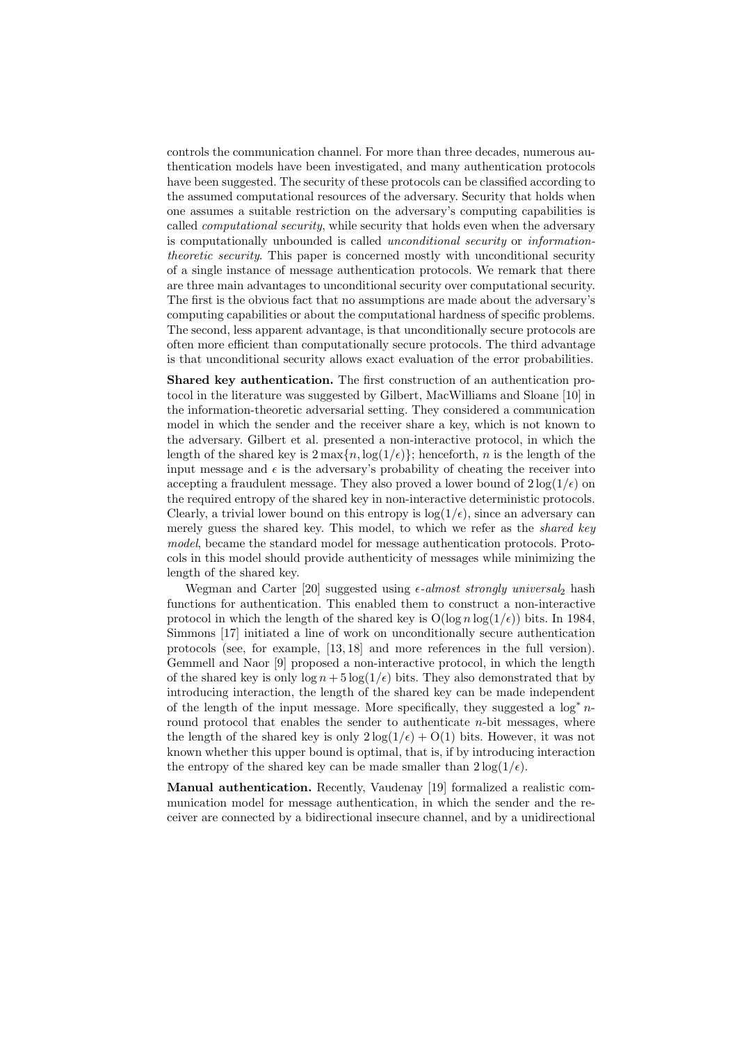controls the communication channel. For more than three decades, numerous authentication models have been investigated, and many authentication protocols have been suggested. The security of these protocols can be classified according to the assumed computational resources of the adversary. Security that holds when one assumes a suitable restriction on the adversary's computing capabilities is called computational security, while security that holds even when the adversary is computationally unbounded is called unconditional security or informationtheoretic security. This paper is concerned mostly with unconditional security of a single instance of message authentication protocols. We remark that there are three main advantages to unconditional security over computational security. The first is the obvious fact that no assumptions are made about the adversary's computing capabilities or about the computational hardness of specific problems. The second, less apparent advantage, is that unconditionally secure protocols are often more efficient than computationally secure protocols. The third advantage is that unconditional security allows exact evaluation of the error probabilities.

Shared key authentication. The first construction of an authentication protocol in the literature was suggested by Gilbert, MacWilliams and Sloane [10] in the information-theoretic adversarial setting. They considered a communication model in which the sender and the receiver share a key, which is not known to the adversary. Gilbert et al. presented a non-interactive protocol, in which the length of the shared key is  $2 \max\{n, \log(1/\epsilon)\}\;$ ; henceforth, n is the length of the input message and  $\epsilon$  is the adversary's probability of cheating the receiver into accepting a fraudulent message. They also proved a lower bound of  $2 \log(1/\epsilon)$  on the required entropy of the shared key in non-interactive deterministic protocols. Clearly, a trivial lower bound on this entropy is  $\log(1/\epsilon)$ , since an adversary can merely guess the shared key. This model, to which we refer as the *shared key* model, became the standard model for message authentication protocols. Protocols in this model should provide authenticity of messages while minimizing the length of the shared key.

Wegman and Carter [20] suggested using  $\epsilon$ -almost strongly universal<sub>2</sub> hash functions for authentication. This enabled them to construct a non-interactive protocol in which the length of the shared key is  $O(\log n \log(1/\epsilon))$  bits. In 1984, Simmons [17] initiated a line of work on unconditionally secure authentication protocols (see, for example, [13, 18] and more references in the full version). Gemmell and Naor [9] proposed a non-interactive protocol, in which the length of the shared key is only  $\log n + 5 \log(1/\epsilon)$  bits. They also demonstrated that by introducing interaction, the length of the shared key can be made independent of the length of the input message. More specifically, they suggested a  $\log^* n$ round protocol that enables the sender to authenticate  $n$ -bit messages, where the length of the shared key is only  $2\log(1/\epsilon) + O(1)$  bits. However, it was not known whether this upper bound is optimal, that is, if by introducing interaction the entropy of the shared key can be made smaller than  $2\log(1/\epsilon)$ .

Manual authentication. Recently, Vaudenay [19] formalized a realistic communication model for message authentication, in which the sender and the receiver are connected by a bidirectional insecure channel, and by a unidirectional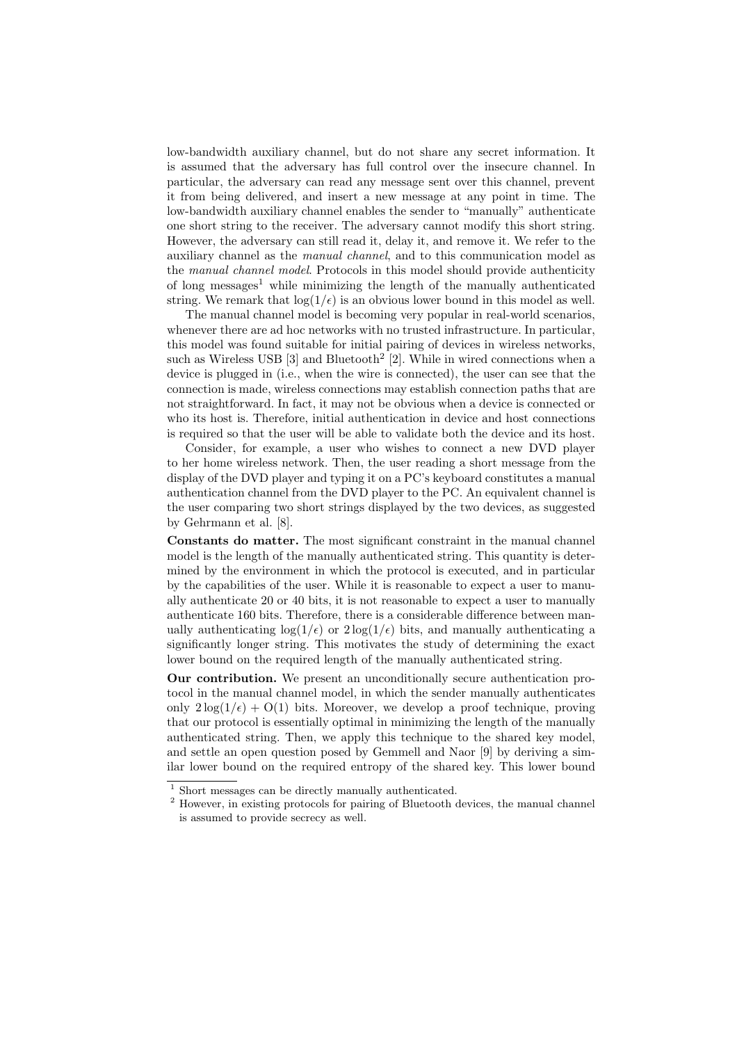low-bandwidth auxiliary channel, but do not share any secret information. It is assumed that the adversary has full control over the insecure channel. In particular, the adversary can read any message sent over this channel, prevent it from being delivered, and insert a new message at any point in time. The low-bandwidth auxiliary channel enables the sender to "manually" authenticate one short string to the receiver. The adversary cannot modify this short string. However, the adversary can still read it, delay it, and remove it. We refer to the auxiliary channel as the manual channel, and to this communication model as the manual channel model. Protocols in this model should provide authenticity of long messages<sup>1</sup> while minimizing the length of the manually authenticated string. We remark that  $log(1/\epsilon)$  is an obvious lower bound in this model as well.

The manual channel model is becoming very popular in real-world scenarios, whenever there are ad hoc networks with no trusted infrastructure. In particular, this model was found suitable for initial pairing of devices in wireless networks, such as Wireless USB  $[3]$  and Bluetooth<sup>2</sup>  $[2]$ . While in wired connections when a device is plugged in (i.e., when the wire is connected), the user can see that the connection is made, wireless connections may establish connection paths that are not straightforward. In fact, it may not be obvious when a device is connected or who its host is. Therefore, initial authentication in device and host connections is required so that the user will be able to validate both the device and its host.

Consider, for example, a user who wishes to connect a new DVD player to her home wireless network. Then, the user reading a short message from the display of the DVD player and typing it on a PC's keyboard constitutes a manual authentication channel from the DVD player to the PC. An equivalent channel is the user comparing two short strings displayed by the two devices, as suggested by Gehrmann et al. [8].

Constants do matter. The most significant constraint in the manual channel model is the length of the manually authenticated string. This quantity is determined by the environment in which the protocol is executed, and in particular by the capabilities of the user. While it is reasonable to expect a user to manually authenticate 20 or 40 bits, it is not reasonable to expect a user to manually authenticate 160 bits. Therefore, there is a considerable difference between manually authenticating  $\log(1/\epsilon)$  or  $2\log(1/\epsilon)$  bits, and manually authenticating a significantly longer string. This motivates the study of determining the exact lower bound on the required length of the manually authenticated string.

Our contribution. We present an unconditionally secure authentication protocol in the manual channel model, in which the sender manually authenticates only  $2\log(1/\epsilon) + O(1)$  bits. Moreover, we develop a proof technique, proving that our protocol is essentially optimal in minimizing the length of the manually authenticated string. Then, we apply this technique to the shared key model, and settle an open question posed by Gemmell and Naor [9] by deriving a similar lower bound on the required entropy of the shared key. This lower bound

<sup>&</sup>lt;sup>1</sup> Short messages can be directly manually authenticated.

<sup>&</sup>lt;sup>2</sup> However, in existing protocols for pairing of Bluetooth devices, the manual channel is assumed to provide secrecy as well.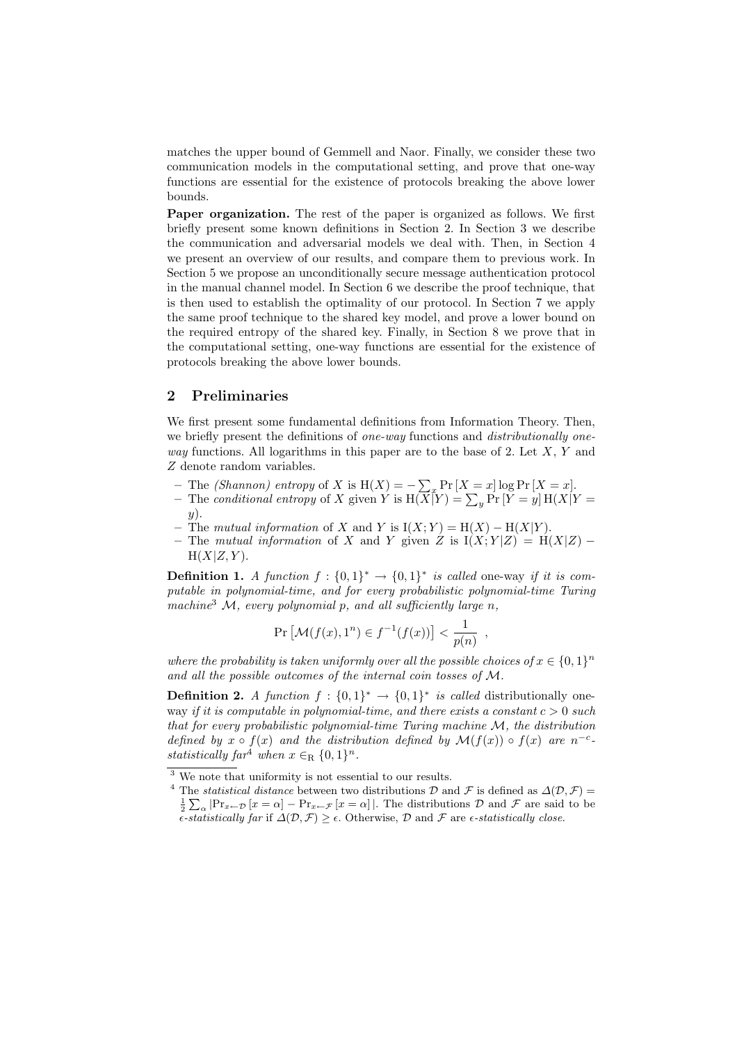matches the upper bound of Gemmell and Naor. Finally, we consider these two communication models in the computational setting, and prove that one-way functions are essential for the existence of protocols breaking the above lower bounds.

Paper organization. The rest of the paper is organized as follows. We first briefly present some known definitions in Section 2. In Section 3 we describe the communication and adversarial models we deal with. Then, in Section 4 we present an overview of our results, and compare them to previous work. In Section 5 we propose an unconditionally secure message authentication protocol in the manual channel model. In Section 6 we describe the proof technique, that is then used to establish the optimality of our protocol. In Section 7 we apply the same proof technique to the shared key model, and prove a lower bound on the required entropy of the shared key. Finally, in Section 8 we prove that in the computational setting, one-way functions are essential for the existence of protocols breaking the above lower bounds.

## 2 Preliminaries

We first present some fundamental definitions from Information Theory. Then, we briefly present the definitions of *one-way* functions and *distributionally oneway* functions. All logarithms in this paper are to the base of 2. Let  $X, Y$  and Z denote random variables.

- 
- The *(Shannon) entropy* of X is H(X) = − $\sum_x$ Pr [X = x] log Pr [X = x].<br>
 The *conditional entropy* of X given Y is H(X|Y) =  $\sum_y$ Pr [Y = y] H(X|Y = y).
- The mutual information of X and Y is  $I(X; Y) = H(X) H(X|Y)$ .
- The mutual information of X and Y given Z is  $I(X; Y|Z) = H(X|Z)$   $H(X|Z, Y)$ .

**Definition 1.** A function  $f: \{0,1\}^* \to \{0,1\}^*$  is called one-way if it is computable in polynomial-time, and for every probabilistic polynomial-time Turing machine<sup>3</sup> M, every polynomial p, and all sufficiently large n,

$$
\Pr\left[\mathcal{M}(f(x), 1^n) \in f^{-1}(f(x))\right] < \frac{1}{p(n)},
$$

where the probability is taken uniformly over all the possible choices of  $x \in \{0,1\}^n$ and all the possible outcomes of the internal coin tosses of M.

**Definition 2.** A function  $f: \{0,1\}^* \rightarrow \{0,1\}^*$  is called distributionally oneway if it is computable in polynomial-time, and there exists a constant  $c > 0$  such that for every probabilistic polynomial-time Turing machine  $\mathcal{M}$ , the distribution defined by  $x \circ f(x)$  and the distribution defined by  $\mathcal{M}(f(x)) \circ f(x)$  are  $n^{-c}$ . statistically far<sup>4</sup> when  $x \in_R \{0,1\}^n$ .

<sup>3</sup> We note that uniformity is not essential to our results.

<sup>&</sup>lt;sup>4</sup> The *statistical distance* between two distributions D and F is defined as  $\Delta(D, \mathcal{F}) =$  $\frac{1}{2}\sum_{\alpha}|\Pr_{x\leftarrow\mathcal{D}}[x=\alpha]-\Pr_{x\leftarrow\mathcal{F}}[x=\alpha]|$ . The distributions  $\mathcal{D}$  and  $\mathcal{F}$  are said to be  $\epsilon$ -statistically far if  $\Delta(\mathcal{D}, \mathcal{F}) \geq \epsilon$ . Otherwise,  $\mathcal D$  and  $\mathcal F$  are  $\epsilon$ -statistically close.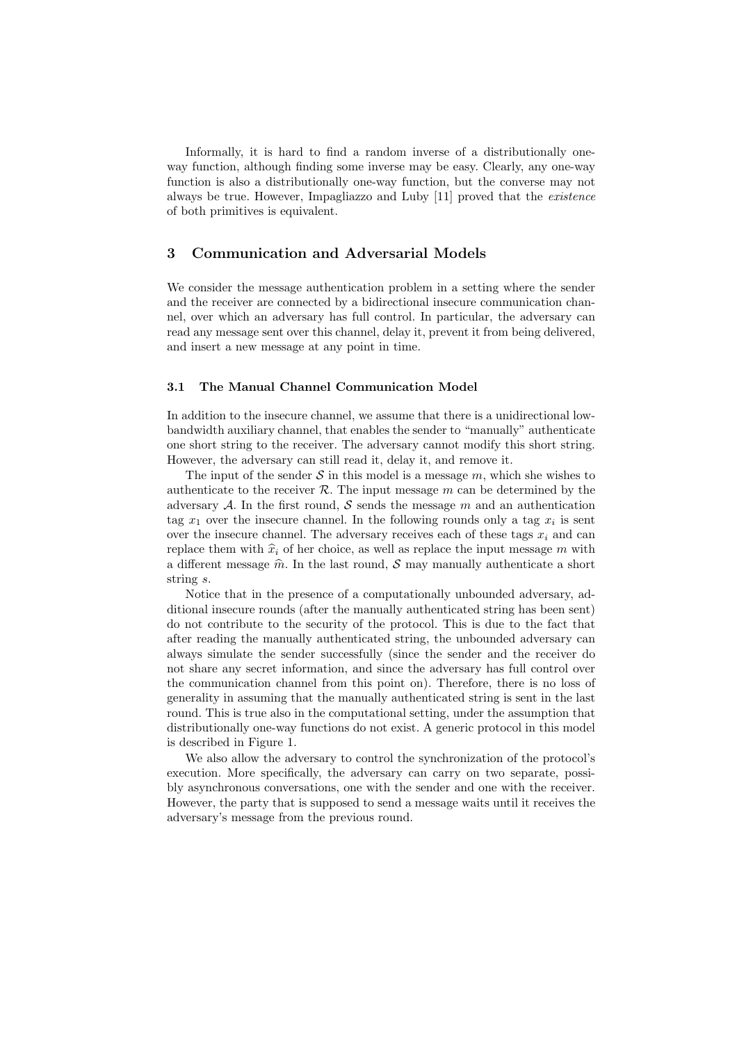Informally, it is hard to find a random inverse of a distributionally oneway function, although finding some inverse may be easy. Clearly, any one-way function is also a distributionally one-way function, but the converse may not always be true. However, Impagliazzo and Luby [11] proved that the existence of both primitives is equivalent.

## 3 Communication and Adversarial Models

We consider the message authentication problem in a setting where the sender and the receiver are connected by a bidirectional insecure communication channel, over which an adversary has full control. In particular, the adversary can read any message sent over this channel, delay it, prevent it from being delivered, and insert a new message at any point in time.

### 3.1 The Manual Channel Communication Model

In addition to the insecure channel, we assume that there is a unidirectional lowbandwidth auxiliary channel, that enables the sender to "manually" authenticate one short string to the receiver. The adversary cannot modify this short string. However, the adversary can still read it, delay it, and remove it.

The input of the sender  $S$  in this model is a message  $m$ , which she wishes to authenticate to the receiver  $\mathcal{R}$ . The input message m can be determined by the adversary  $A$ . In the first round,  $S$  sends the message  $m$  and an authentication tag  $x_1$  over the insecure channel. In the following rounds only a tag  $x_i$  is sent over the insecure channel. The adversary receives each of these tags  $x_i$  and can replace them with  $\hat{x}_i$  of her choice, as well as replace the input message m with a different message  $\hat{m}$ . In the last round, S may manually authenticate a short string s.

Notice that in the presence of a computationally unbounded adversary, additional insecure rounds (after the manually authenticated string has been sent) do not contribute to the security of the protocol. This is due to the fact that after reading the manually authenticated string, the unbounded adversary can always simulate the sender successfully (since the sender and the receiver do not share any secret information, and since the adversary has full control over the communication channel from this point on). Therefore, there is no loss of generality in assuming that the manually authenticated string is sent in the last round. This is true also in the computational setting, under the assumption that distributionally one-way functions do not exist. A generic protocol in this model is described in Figure 1.

We also allow the adversary to control the synchronization of the protocol's execution. More specifically, the adversary can carry on two separate, possibly asynchronous conversations, one with the sender and one with the receiver. However, the party that is supposed to send a message waits until it receives the adversary's message from the previous round.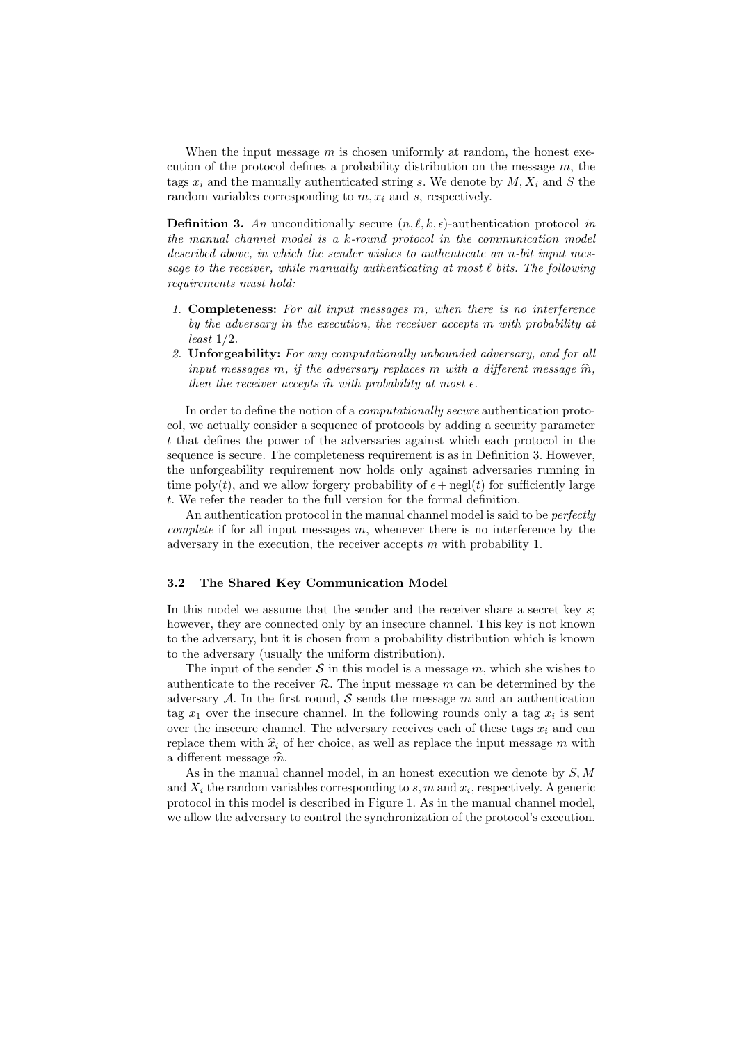When the input message  $m$  is chosen uniformly at random, the honest execution of the protocol defines a probability distribution on the message  $m$ , the tags  $x_i$  and the manually authenticated string s. We denote by  $M$ ,  $X_i$  and S the random variables corresponding to  $m, x_i$  and s, respectively.

**Definition 3.** An unconditionally secure  $(n, \ell, k, \epsilon)$ -authentication protocol in the manual channel model is a k-round protocol in the communication model described above, in which the sender wishes to authenticate an n-bit input message to the receiver, while manually authenticating at most  $\ell$  bits. The following requirements must hold:

- 1. Completeness: For all input messages m, when there is no interference by the adversary in the execution, the receiver accepts m with probability at least 1/2.
- 2. Unforgeability: For any computationally unbounded adversary, and for all input messages m, if the adversary replaces m with a different message  $\hat{m}$ , then the receiver accepts  $\hat{m}$  with probability at most  $\epsilon$ .

In order to define the notion of a computationally secure authentication protocol, we actually consider a sequence of protocols by adding a security parameter t that defines the power of the adversaries against which each protocol in the sequence is secure. The completeness requirement is as in Definition 3. However, the unforgeability requirement now holds only against adversaries running in time poly(t), and we allow forgery probability of  $\epsilon$  + negl(t) for sufficiently large t. We refer the reader to the full version for the formal definition.

An authentication protocol in the manual channel model is said to be *perfectly complete* if for all input messages  $m$ , whenever there is no interference by the adversary in the execution, the receiver accepts  $m$  with probability 1.

#### 3.2 The Shared Key Communication Model

In this model we assume that the sender and the receiver share a secret key s; however, they are connected only by an insecure channel. This key is not known to the adversary, but it is chosen from a probability distribution which is known to the adversary (usually the uniform distribution).

The input of the sender  $S$  in this model is a message  $m$ , which she wishes to authenticate to the receiver  $R$ . The input message m can be determined by the adversary  $A$ . In the first round,  $S$  sends the message m and an authentication tag  $x_1$  over the insecure channel. In the following rounds only a tag  $x_i$  is sent over the insecure channel. The adversary receives each of these tags  $x_i$  and can replace them with  $\hat{x}_i$  of her choice, as well as replace the input message m with a different message  $\hat{m}$ .

As in the manual channel model, in an honest execution we denote by S, M and  $X_i$  the random variables corresponding to  $s, m$  and  $x_i$ , respectively. A generic protocol in this model is described in Figure 1. As in the manual channel model, we allow the adversary to control the synchronization of the protocol's execution.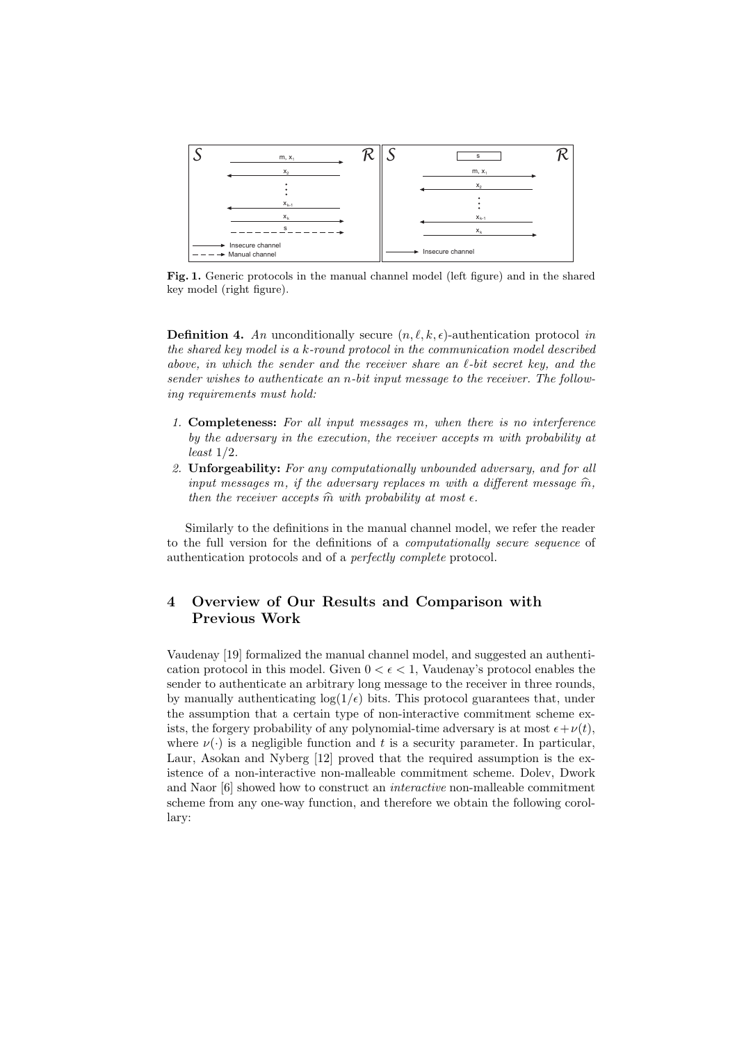

Fig. 1. Generic protocols in the manual channel model (left figure) and in the shared key model (right figure).

**Definition 4.** An unconditionally secure  $(n, \ell, k, \epsilon)$ -authentication protocol in the shared key model is a k-round protocol in the communication model described above, in which the sender and the receiver share an  $\ell$ -bit secret key, and the sender wishes to authenticate an n-bit input message to the receiver. The following requirements must hold:

- 1. Completeness: For all input messages m, when there is no interference by the adversary in the execution, the receiver accepts m with probability at least 1/2.
- 2. Unforgeability: For any computationally unbounded adversary, and for all input messages m, if the adversary replaces m with a different message  $\hat{m}$ , then the receiver accepts  $\widehat{m}$  with probability at most  $\epsilon$ .

Similarly to the definitions in the manual channel model, we refer the reader to the full version for the definitions of a computationally secure sequence of authentication protocols and of a perfectly complete protocol.

# 4 Overview of Our Results and Comparison with Previous Work

Vaudenay [19] formalized the manual channel model, and suggested an authentication protocol in this model. Given  $0 < \epsilon < 1$ , Vaudenay's protocol enables the sender to authenticate an arbitrary long message to the receiver in three rounds, by manually authenticating  $log(1/\epsilon)$  bits. This protocol guarantees that, under the assumption that a certain type of non-interactive commitment scheme exists, the forgery probability of any polynomial-time adversary is at most  $\epsilon + \nu(t)$ , where  $\nu(\cdot)$  is a negligible function and t is a security parameter. In particular, Laur, Asokan and Nyberg [12] proved that the required assumption is the existence of a non-interactive non-malleable commitment scheme. Dolev, Dwork and Naor [6] showed how to construct an interactive non-malleable commitment scheme from any one-way function, and therefore we obtain the following corollary: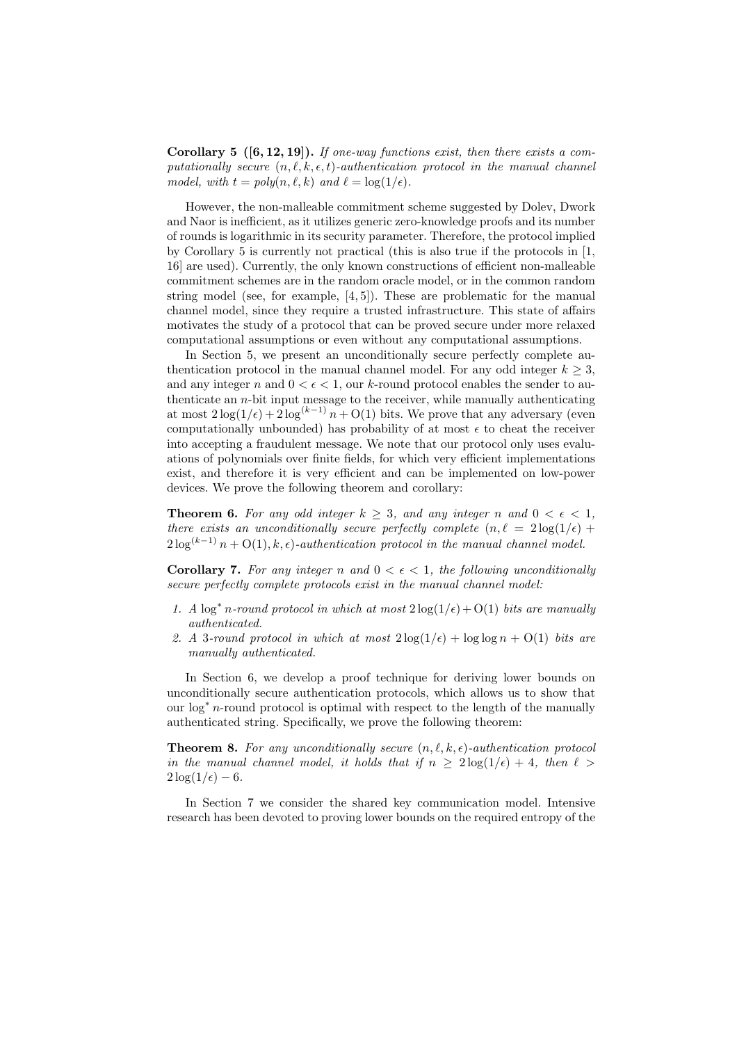Corollary 5  $([6, 12, 19])$ . If one-way functions exist, then there exists a computationally secure  $(n, \ell, k, \epsilon, t)$ -authentication protocol in the manual channel model, with  $t = poly(n, \ell, k)$  and  $\ell = log(1/\epsilon)$ .

However, the non-malleable commitment scheme suggested by Dolev, Dwork and Naor is inefficient, as it utilizes generic zero-knowledge proofs and its number of rounds is logarithmic in its security parameter. Therefore, the protocol implied by Corollary 5 is currently not practical (this is also true if the protocols in [1, 16] are used). Currently, the only known constructions of efficient non-malleable commitment schemes are in the random oracle model, or in the common random string model (see, for example, [4, 5]). These are problematic for the manual channel model, since they require a trusted infrastructure. This state of affairs motivates the study of a protocol that can be proved secure under more relaxed computational assumptions or even without any computational assumptions.

In Section 5, we present an unconditionally secure perfectly complete authentication protocol in the manual channel model. For any odd integer  $k \geq 3$ , and any integer n and  $0 < \epsilon < 1$ , our k-round protocol enables the sender to authenticate an  $n$ -bit input message to the receiver, while manually authenticating at most  $2\log(1/\epsilon) + 2\log^{(k-1)} n + O(1)$  bits. We prove that any adversary (even computationally unbounded) has probability of at most  $\epsilon$  to cheat the receiver into accepting a fraudulent message. We note that our protocol only uses evaluations of polynomials over finite fields, for which very efficient implementations exist, and therefore it is very efficient and can be implemented on low-power devices. We prove the following theorem and corollary:

**Theorem 6.** For any odd integer  $k \geq 3$ , and any integer n and  $0 < \epsilon < 1$ , there exists an unconditionally secure perfectly complete  $(n, \ell = 2 \log(1/\epsilon) +$  $2\log^{(k-1)} n + O(1), k, \epsilon$ )-authentication protocol in the manual channel model.

**Corollary 7.** For any integer n and  $0 \leq \epsilon \leq 1$ , the following unconditionally secure perfectly complete protocols exist in the manual channel model:

- 1. A log<sup>\*</sup> n-round protocol in which at most  $2\log(1/\epsilon) + O(1)$  bits are manually authenticated.
- 2. A 3-round protocol in which at most  $2\log(1/\epsilon) + \log \log n + O(1)$  bits are manually authenticated.

In Section 6, we develop a proof technique for deriving lower bounds on unconditionally secure authentication protocols, which allows us to show that our log<sup>∗</sup> n-round protocol is optimal with respect to the length of the manually authenticated string. Specifically, we prove the following theorem:

**Theorem 8.** For any unconditionally secure  $(n, \ell, k, \epsilon)$ -authentication protocol in the manual channel model, it holds that if  $n > 2 \log(1/\epsilon) + 4$ , then  $\ell >$  $2\log(1/\epsilon) - 6.$ 

In Section 7 we consider the shared key communication model. Intensive research has been devoted to proving lower bounds on the required entropy of the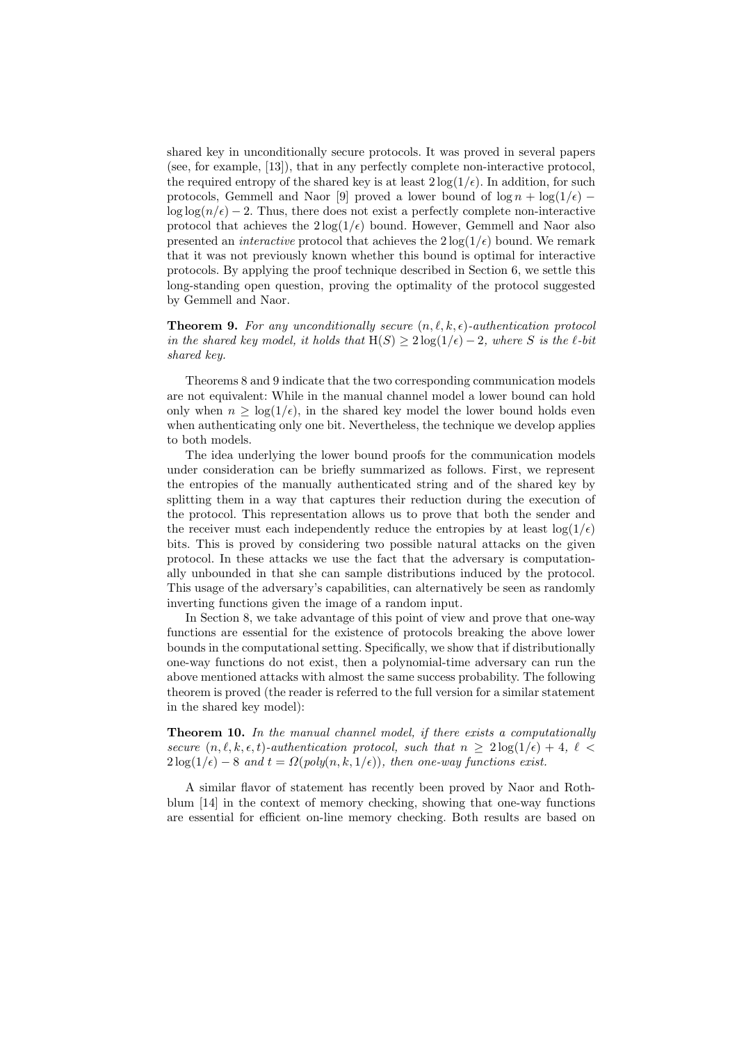shared key in unconditionally secure protocols. It was proved in several papers (see, for example, [13]), that in any perfectly complete non-interactive protocol, the required entropy of the shared key is at least  $2 \log(1/\epsilon)$ . In addition, for such protocols, Gemmell and Naor [9] proved a lower bound of  $\log n + \log(1/\epsilon)$  –  $\log \log(n/\epsilon) - 2$ . Thus, there does not exist a perfectly complete non-interactive protocol that achieves the  $2 \log(1/\epsilon)$  bound. However, Gemmell and Naor also presented an *interactive* protocol that achieves the  $2 \log(1/\epsilon)$  bound. We remark that it was not previously known whether this bound is optimal for interactive protocols. By applying the proof technique described in Section 6, we settle this long-standing open question, proving the optimality of the protocol suggested by Gemmell and Naor.

**Theorem 9.** For any unconditionally secure  $(n, \ell, k, \epsilon)$ -authentication protocol in the shared key model, it holds that  $H(S) \geq 2 \log(1/\epsilon) - 2$ , where S is the  $\ell$ -bit shared key.

Theorems 8 and 9 indicate that the two corresponding communication models are not equivalent: While in the manual channel model a lower bound can hold only when  $n > \log(1/\epsilon)$ , in the shared key model the lower bound holds even when authenticating only one bit. Nevertheless, the technique we develop applies to both models.

The idea underlying the lower bound proofs for the communication models under consideration can be briefly summarized as follows. First, we represent the entropies of the manually authenticated string and of the shared key by splitting them in a way that captures their reduction during the execution of the protocol. This representation allows us to prove that both the sender and the receiver must each independently reduce the entropies by at least  $log(1/\epsilon)$ bits. This is proved by considering two possible natural attacks on the given protocol. In these attacks we use the fact that the adversary is computationally unbounded in that she can sample distributions induced by the protocol. This usage of the adversary's capabilities, can alternatively be seen as randomly inverting functions given the image of a random input.

In Section 8, we take advantage of this point of view and prove that one-way functions are essential for the existence of protocols breaking the above lower bounds in the computational setting. Specifically, we show that if distributionally one-way functions do not exist, then a polynomial-time adversary can run the above mentioned attacks with almost the same success probability. The following theorem is proved (the reader is referred to the full version for a similar statement in the shared key model):

**Theorem 10.** In the manual channel model, if there exists a computationally secure  $(n, \ell, k, \epsilon, t)$ -authentication protocol, such that  $n \geq 2 \log(1/\epsilon) + 4$ ,  $\ell$  $2\log(1/\epsilon) - 8$  and  $t = \Omega(poly(n, k, 1/\epsilon))$ , then one-way functions exist.

A similar flavor of statement has recently been proved by Naor and Rothblum [14] in the context of memory checking, showing that one-way functions are essential for efficient on-line memory checking. Both results are based on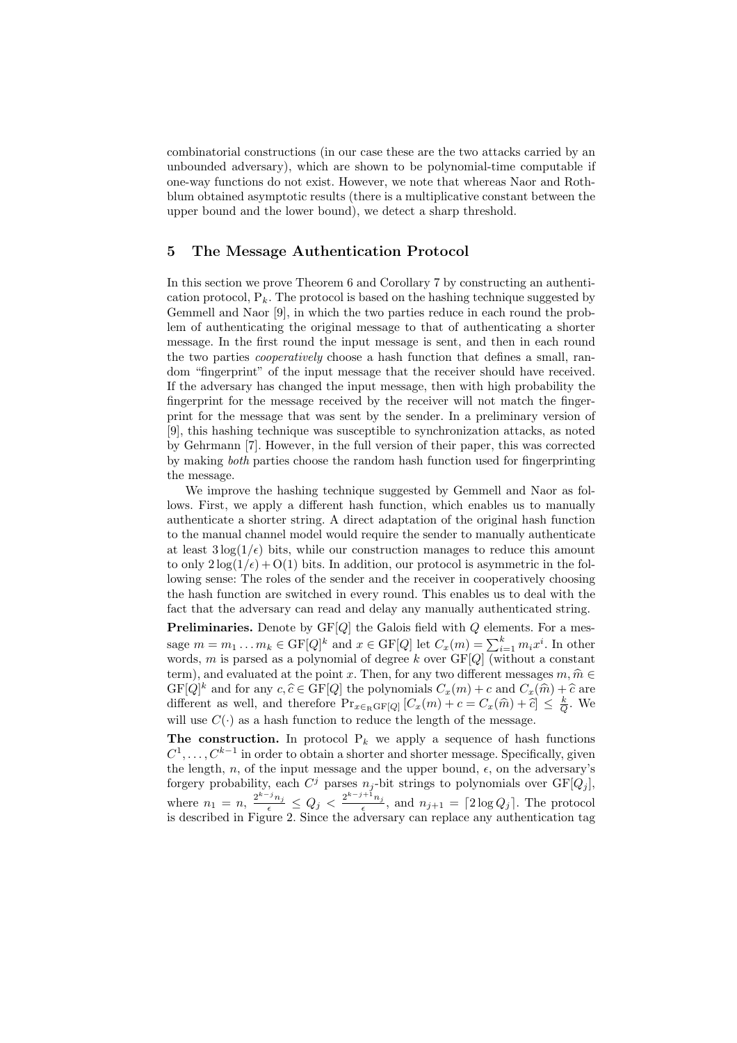combinatorial constructions (in our case these are the two attacks carried by an unbounded adversary), which are shown to be polynomial-time computable if one-way functions do not exist. However, we note that whereas Naor and Rothblum obtained asymptotic results (there is a multiplicative constant between the upper bound and the lower bound), we detect a sharp threshold.

# 5 The Message Authentication Protocol

In this section we prove Theorem 6 and Corollary 7 by constructing an authentication protocol,  $P_k$ . The protocol is based on the hashing technique suggested by Gemmell and Naor [9], in which the two parties reduce in each round the problem of authenticating the original message to that of authenticating a shorter message. In the first round the input message is sent, and then in each round the two parties cooperatively choose a hash function that defines a small, random "fingerprint" of the input message that the receiver should have received. If the adversary has changed the input message, then with high probability the fingerprint for the message received by the receiver will not match the fingerprint for the message that was sent by the sender. In a preliminary version of [9], this hashing technique was susceptible to synchronization attacks, as noted by Gehrmann [7]. However, in the full version of their paper, this was corrected by making both parties choose the random hash function used for fingerprinting the message.

We improve the hashing technique suggested by Gemmell and Naor as follows. First, we apply a different hash function, which enables us to manually authenticate a shorter string. A direct adaptation of the original hash function to the manual channel model would require the sender to manually authenticate at least  $3\log(1/\epsilon)$  bits, while our construction manages to reduce this amount to only  $2\log(1/\epsilon) + O(1)$  bits. In addition, our protocol is asymmetric in the following sense: The roles of the sender and the receiver in cooperatively choosing the hash function are switched in every round. This enables us to deal with the fact that the adversary can read and delay any manually authenticated string.

**Preliminaries.** Denote by  $GF[Q]$  the Galois field with  $Q$  elements. For a message  $m = m_1 ... m_k \in \text{GF}[Q]^k$  and  $x \in \text{GF}[Q]$  let  $C_x(m) = \sum_{i=1}^k m_i x^i$ . In other words, m is parsed as a polynomial of degree k over  $GF[Q]$  (without a constant term), and evaluated at the point x. Then, for any two different messages  $m, \hat{m} \in$  $GF[Q]^k$  and for any  $c, \hat{c} \in GF[Q]$  the polynomials  $C_x(m) + c$  and  $C_x(\hat{m}) + \hat{c}$  are different as well, and therefore  $\Pr_{x \in_R \text{GF}[Q]} [C_x(m) + c = C_x(\widehat{m}) + \widehat{c}] \leq \frac{k}{Q}$ . We will use  $C(\cdot)$  as a hash function to reduce the length of the message.

The construction. In protocol  $P_k$  we apply a sequence of hash functions  $C^1, \ldots, C^{k-1}$  in order to obtain a shorter and shorter message. Specifically, given the length, n, of the input message and the upper bound,  $\epsilon$ , on the adversary's forgery probability, each  $C^j$  parses  $n_j$ -bit strings to polynomials over  $GF[Q_j]$ , where  $n_1 = n$ ,  $\frac{2^{k-j}n_j}{\epsilon} \leq Q_j < \frac{2^{k-j+1}n_j}{\epsilon}$ , and  $n_{j+1} = \lceil 2\log Q_j \rceil$ . The protocol is described in Figure 2. Since the adversary can replace any authentication tag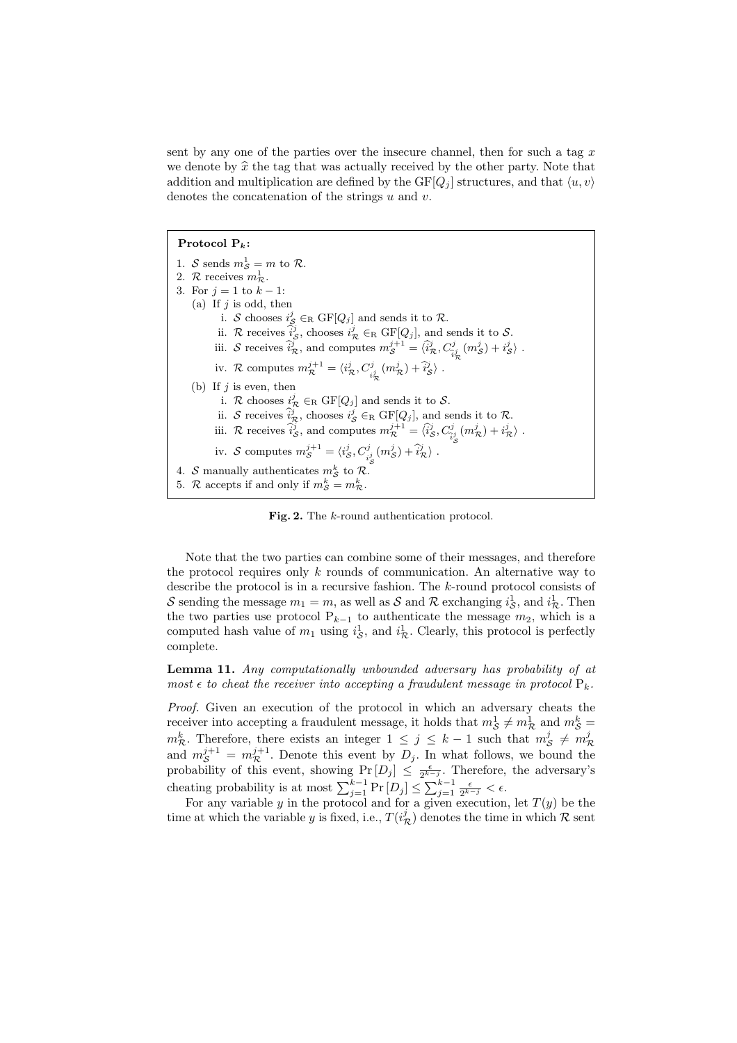sent by any one of the parties over the insecure channel, then for such a tag  $x$ we denote by  $\hat{x}$  the tag that was actually received by the other party. Note that addition and multiplication are defined by the GF[ $Q_i$ ] structures, and that  $\langle u, v \rangle$ denotes the concatenation of the strings  $u$  and  $v$ .

### Protocol  $P_k$ :

1. S sends  $m_S^1 = m$  to R. 2. R receives  $m_{\mathcal{R}}^1$ . 3. For  $j = 1$  to  $k - 1$ : (a) If  $j$  is odd, then i. S chooses  $i_{\mathcal{S}}^{j} \in_{\mathbb{R}} \mathrm{GF}[Q_{j}]$  and sends it to  $\mathcal{R}$ . ii. R receives  $\hat{i}_{\mathcal{S}}^j$ , chooses  $i_{\mathcal{R}}^j \in_R \mathrm{GF}[Q_j]$ , and sends it to  $\mathcal{S}$ . iii. S receives  $\hat{i}^j_{\mathcal{R}}$ , and computes  $m_S^{j+1} = \langle \hat{i}^j_{\mathcal{R}}, C^j_{\hat{i}^j_{\mathcal{R}}}(m_S^j) + i^j_{\mathcal{S}} \rangle$ . iv. R computes  $m_{\mathcal{R}}^{j+1} = \langle i_{\mathcal{R}}^j, C_{i_{\mathcal{R}}}^j (m_{\mathcal{R}}^j) + \hat{i}_{\mathcal{S}}^j \rangle$ . (b) If  $j$  is even, then i. R chooses  $i_{\mathcal{R}}^j \in_R \mathrm{GF}[Q_j]$  and sends it to S. ii. S receives  $\hat{i}^j_{\mathcal{R}}$ , chooses  $i^j_{\mathcal{S}} \in_R \mathrm{GF}[Q_j]$ , and sends it to  $\mathcal{R}$ . iii. R receives  $\hat{i}^j_S$ , and computes  $m^{j+1}_{\mathcal{R}} = \langle \hat{i}^j_S, C^j_{\hat{i}^j_S}(m^j_{\mathcal{R}}) + i^j_{\mathcal{R}} \rangle$ . iv. S computes  $m_S^{j+1} = \langle i_S^j, C_{i_S^j}^j(m_S^j) + \hat{i}_R^j \rangle$ . 4. S manually authenticates  $m_S^k$  to R. 5. R accepts if and only if  $m_S^k = m_{\mathcal{R}}^k$ .

Fig. 2. The k-round authentication protocol.

Note that the two parties can combine some of their messages, and therefore the protocol requires only  $k$  rounds of communication. An alternative way to describe the protocol is in a recursive fashion. The k-round protocol consists of S sending the message  $m_1 = m$ , as well as S and R exchanging  $i_S^1$ , and  $i_R^1$ . Then the two parties use protocol  $P_{k-1}$  to authenticate the message  $m_2$ , which is a computed hash value of  $m_1$  using  $i_S^1$ , and  $i_R^1$ . Clearly, this protocol is perfectly complete.

Lemma 11. Any computationally unbounded adversary has probability of at most  $\epsilon$  to cheat the receiver into accepting a fraudulent message in protocol  $P_k$ .

Proof. Given an execution of the protocol in which an adversary cheats the receiver into accepting a fraudulent message, it holds that  $m_S^1 \neq m_R^1$  and  $m_S^k =$  $m_{\mathcal{R}}^k$ . Therefore, there exists an integer  $1 \leq j \leq k-1$  such that  $m_{\mathcal{S}}^j \neq m_{\mathcal{R}}^j$  and  $m_{\mathcal{S}}^{j+1} = m_{\mathcal{R}}^{j+1}$ . Denote this event by  $D_j$ . In what follows, we bound the probability of this event, showing  $Pr[D_j] \leq \frac{\epsilon}{2^{k-j}}$ . Therefore, the adversary's cheating probability is at most  $\sum_{j=1}^{k-1} Pr[D_j] \leq \sum_{j=1}^{k-1} \frac{\epsilon}{2^{k-j}} < \epsilon$ .

For any variable y in the protocol and for a given execution, let  $T(y)$  be the time at which the variable y is fixed, i.e.,  $T(i^j_{\mathcal{R}})$  denotes the time in which R sent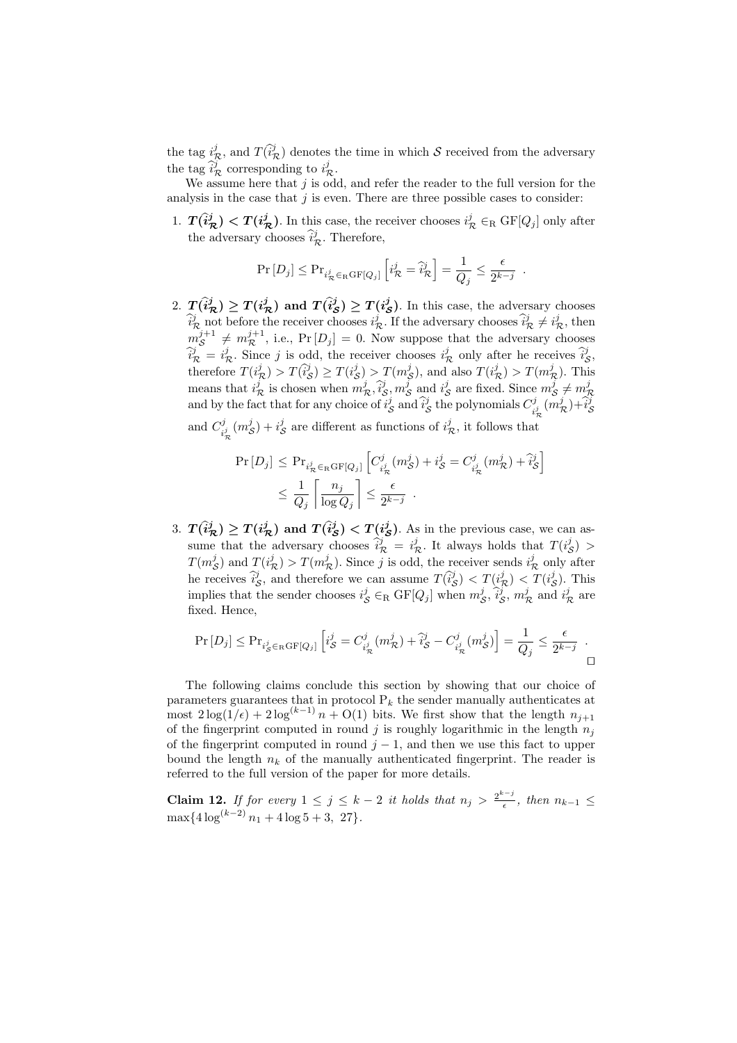the tag  $i_{\mathcal{R}}^j$ , and  $T(\hat{i}_{\mathcal{R}}^j)$  denotes the time in which S received from the adversary the tag  $\hat{i}_{\mathcal{R}}^j$  corresponding to  $i_{\mathcal{R}}^j$ .

We assume here that  $j$  is odd, and refer the reader to the full version for the analysis in the case that  $j$  is even. There are three possible cases to consider:

1.  $T(\hat{i}_{\mathcal{R}}^j) < T(i_{\mathcal{R}}^j)$ . In this case, the receiver chooses  $i_{\mathcal{R}}^j \in_R \text{GF}[Q_j]$  only after the adversary chooses  $\hat{i}^j_{\mathcal{R}}$ . Therefore,

$$
\Pr\left[D_j\right] \leq \Pr_{i^j_{\mathcal{R}} \in_R \text{GF}[Q_j]} \left[i^j_{\mathcal{R}} = \hat{i}^j_{\mathcal{R}}\right] = \frac{1}{Q_j} \leq \frac{\epsilon}{2^{k-j}}.
$$

2.  $T(\hat{i}_{\mathcal{R}}^j) \geq T(i_{\mathcal{R}}^j)$  and  $T(\hat{i}_{\mathcal{S}}^j) \geq T(i_{\mathcal{S}}^j)$ . In this case, the adversary chooses  $\hat{i}^j_{\mathcal{R}}$  not before the receiver chooses  $i^j_{\mathcal{R}}$ . If the adversary chooses  $\hat{i}^j_{\mathcal{R}} \neq i^j_{\mathcal{R}}$ , then  $m_S^{j+1} \neq m_R^{j+1}$ , i.e.,  $Pr[D_j] = 0$ . Now suppose that the adversary chooses  $\hat{i}^j_{\mathcal{R}} = i^j_{\mathcal{R}}$ . Since j is odd, the receiver chooses  $i^j_{\mathcal{R}}$  only after he receives  $\hat{i}^j_{\mathcal{S}}$ , therefore  $T(i_{\mathcal{R}}^j) > T(\hat{i}_{\mathcal{S}}^j) \geq T(i_{\mathcal{S}}^j) > T(m_{\mathcal{S}}^j)$ , and also  $T(i_{\mathcal{R}}^j) > T(m_{\mathcal{R}}^j)$ . This means that  $i_R^j$  is chosen when  $m_R^j$ ,  $\hat{i}_S^j$ ,  $m_S^j$  and  $i_S^j$  are fixed. Since  $m_S^j \neq m_R^j$ and by the fact that for any choice of  $i_S^j$  and  $\hat{i}_S^j$  the polynomials  $C_i^j$  $\hat{u}^j_{\vec{\mathcal{R}}}(\vec{m}_{\mathcal{R}}^j)$ + $\widehat{i}_{\mathcal{S}}^j$ and  $C_j^j$  $i_{\mathcal{R}}^{j}$   $(m_{\mathcal{S}}^{j}) + i_{\mathcal{S}}^{j}$  are different as functions of  $i_{\mathcal{R}}^{j}$ , it follows that

$$
\begin{aligned} \Pr\left[D_j\right] &\leq \Pr_{i^j_\mathcal{R}\in_{\mathrm{R}}\mathrm{GF}[Q_j]}\left[C^j_{i^j_\mathcal{R}}(m^j_{\mathcal{S}})+i^j_{\mathcal{S}}=C^j_{i^j_\mathcal{R}}(m^j_\mathcal{R})+\hat{i}^j_{\mathcal{S}}\right] \\ &\leq \frac{1}{Q_j}\left\lceil \frac{n_j}{\log Q_j}\right\rceil \leq \frac{\epsilon}{2^{k-j}} \enspace. \end{aligned}
$$

3.  $T(\hat{i}_{\mathcal{R}}^j) \geq T(i_{\mathcal{R}}^j)$  and  $T(\hat{i}_{\mathcal{S}}^j) < T(i_{\mathcal{S}}^j)$ . As in the previous case, we can assume that the adversary chooses  $\hat{i}^j_{\mathcal{R}} = i^j_{\mathcal{R}}$ . It always holds that  $T(i^j_{\mathcal{S}})$  $T(m_S^j)$  and  $T(i_R^j) > T(m_R^j)$ . Since j is odd, the receiver sends  $i_R^j$  only after he receives  $\hat{i}^j_{\mathcal{S}}$ , and therefore we can assume  $T(\hat{i}^j_{\mathcal{S}}) < T(i^j_{\mathcal{R}}) < T(i^j_{\mathcal{S}})$ . This implies that the sender chooses  $i_S^j \in_R \text{GF}[Q_j]$  when  $m_S^j$ ,  $\hat{i}_S^j$ ,  $m_R^j$  and  $i_R^j$  are fixed. Hence,

$$
\Pr\left[D_j\right] \leq \Pr_{i_{\mathcal{S}}^j \in_R \text{GF}[Q_j]} \left[ i_{\mathcal{S}}^j = C_{i_{\mathcal{R}}^j}^j \left(m_{\mathcal{R}}^j\right) + \hat{i}_{\mathcal{S}}^j - C_{i_{\mathcal{R}}^j}^j \left(m_{\mathcal{S}}^j\right) \right] = \frac{1}{Q_j} \leq \frac{\epsilon}{2^{k-j}}.
$$

The following claims conclude this section by showing that our choice of parameters guarantees that in protocol  $P_k$  the sender manually authenticates at most  $2\log(1/\epsilon) + 2\log^{(k-1)} n + O(1)$  bits. We first show that the length  $n_{i+1}$ of the fingerprint computed in round j is roughly logarithmic in the length  $n<sub>i</sub>$ of the fingerprint computed in round  $j - 1$ , and then we use this fact to upper bound the length  $n_k$  of the manually authenticated fingerprint. The reader is referred to the full version of the paper for more details.

**Claim 12.** If for every  $1 \leq j \leq k-2$  it holds that  $n_j > \frac{2^{k-j}}{6}$  $\frac{m}{\epsilon}$ , then  $n_{k-1} \leq$  $\max\{4\log^{(k-2)} n_1 + 4\log 5 + 3, 27\}.$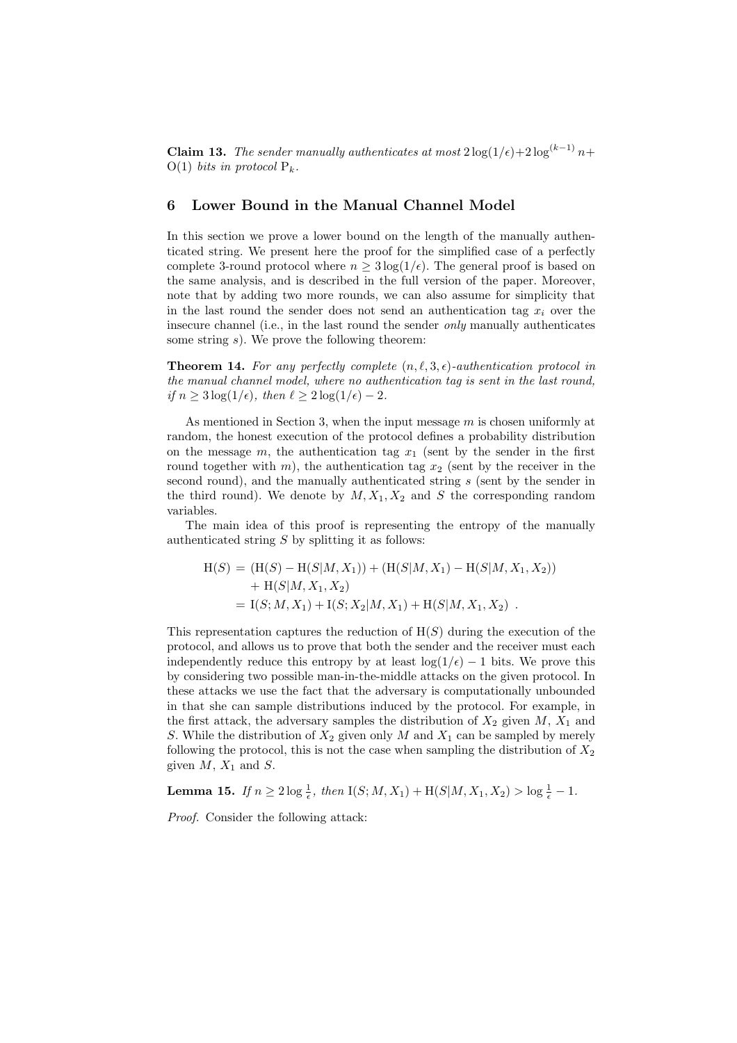**Claim 13.** The sender manually authenticates at most  $2 \log(1/\epsilon) + 2 \log^{(k-1)} n +$  $O(1)$  bits in protocol  $P_k$ .

### 6 Lower Bound in the Manual Channel Model

In this section we prove a lower bound on the length of the manually authenticated string. We present here the proof for the simplified case of a perfectly complete 3-round protocol where  $n \geq 3 \log(1/\epsilon)$ . The general proof is based on the same analysis, and is described in the full version of the paper. Moreover, note that by adding two more rounds, we can also assume for simplicity that in the last round the sender does not send an authentication tag  $x_i$  over the insecure channel (i.e., in the last round the sender *only* manually authenticates some string s). We prove the following theorem:

**Theorem 14.** For any perfectly complete  $(n, \ell, 3, \epsilon)$ -authentication protocol in the manual channel model, where no authentication tag is sent in the last round, if  $n \geq 3 \log(1/\epsilon)$ , then  $\ell \geq 2 \log(1/\epsilon) - 2$ .

As mentioned in Section 3, when the input message  $m$  is chosen uniformly at random, the honest execution of the protocol defines a probability distribution on the message  $m$ , the authentication tag  $x_1$  (sent by the sender in the first round together with m), the authentication tag  $x_2$  (sent by the receiver in the second round), and the manually authenticated string s (sent by the sender in the third round). We denote by  $M, X_1, X_2$  and S the corresponding random variables.

The main idea of this proof is representing the entropy of the manually authenticated string  $S$  by splitting it as follows:

$$
H(S) = (H(S) - H(S|M, X_1)) + (H(S|M, X_1) - H(S|M, X_1, X_2))
$$
  
+ 
$$
H(S|M, X_1, X_2)
$$
  
= 
$$
I(S; M, X_1) + I(S; X_2|M, X_1) + H(S|M, X_1, X_2)
$$
.

This representation captures the reduction of  $H(S)$  during the execution of the protocol, and allows us to prove that both the sender and the receiver must each independently reduce this entropy by at least  $log(1/\epsilon) - 1$  bits. We prove this by considering two possible man-in-the-middle attacks on the given protocol. In these attacks we use the fact that the adversary is computationally unbounded in that she can sample distributions induced by the protocol. For example, in the first attack, the adversary samples the distribution of  $X_2$  given  $M$ ,  $X_1$  and S. While the distribution of  $X_2$  given only M and  $X_1$  can be sampled by merely following the protocol, this is not the case when sampling the distribution of  $X_2$ given  $M$ ,  $X_1$  and  $S$ .

**Lemma 15.** If  $n \geq 2 \log \frac{1}{\epsilon}$ , then  $I(S; M, X_1) + H(S|M, X_1, X_2) > \log \frac{1}{\epsilon} - 1$ .

Proof. Consider the following attack: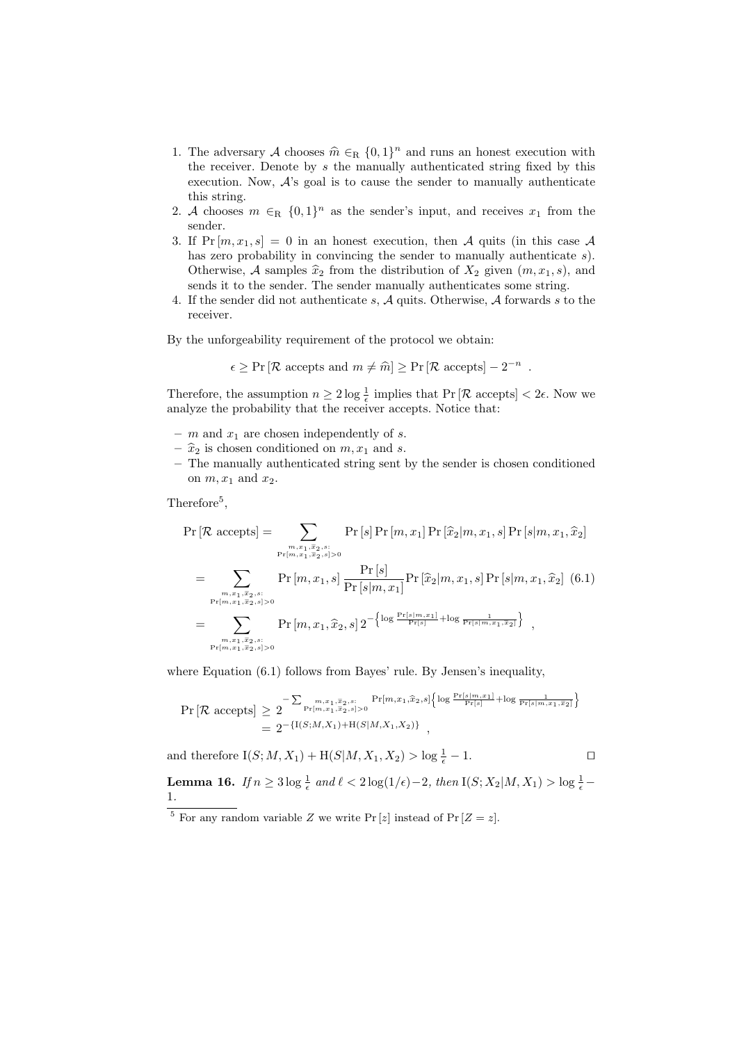- 1. The adversary A chooses  $\hat{m} \in_R \{0, 1\}^n$  and runs an honest execution with the receiver. Denote by  $s$  the manually authenticated string fixed by this execution. Now,  $A$ 's goal is to cause the sender to manually authenticate this string.
- 2. A chooses  $m \in_R \{0,1\}^n$  as the sender's input, and receives  $x_1$  from the sender.
- 3. If  $Pr[m, x_1, s] = 0$  in an honest execution, then A quits (in this case A has zero probability in convincing the sender to manually authenticate s). Otherwise, A samples  $\hat{x}_2$  from the distribution of  $X_2$  given  $(m, x_1, s)$ , and sends it to the sender. The sender manually authenticates some string.
- 4. If the sender did not authenticate s, A quits. Otherwise, A forwards s to the receiver.

By the unforgeability requirement of the protocol we obtain:

$$
\epsilon \geq \Pr[\mathcal{R}
$$
 accepts and  $m \neq \hat{m} \geq \Pr[\mathcal{R}$  accepts] - 2<sup>-n</sup>

.

Therefore, the assumption  $n \geq 2 \log \frac{1}{\epsilon}$  implies that Pr [R accepts]  $\lt 2\epsilon$ . Now we analyze the probability that the receiver accepts. Notice that:

- m and  $x_1$  are chosen independently of s.
- $\hat{x}_2$  is chosen conditioned on  $m, x_1$  and s.
- The manually authenticated string sent by the sender is chosen conditioned on  $m, x_1$  and  $x_2$ .

Therefore<sup>5</sup>,

$$
\Pr[\mathcal{R}\text{ accepts}] = \sum_{\substack{m,x_1,\hat{x}_2,s:\\ \Pr[m,x_1,\hat{x}_2,s)>0}} \Pr[s] \Pr[m,x_1] \Pr[\widehat{x}_2|m,x_1,s] \Pr[s|m,x_1,\hat{x}_2] \\
= \sum_{\substack{m,x_1,\hat{x}_2,s:\\ \Pr[m,x_1,\hat{x}_2,s)>0}} \Pr[m,x_1,s] \frac{\Pr[s]}{\Pr[s|m,x_1]} \Pr[\widehat{x}_2|m,x_1,s] \Pr[s|m,x_1,\hat{x}_2] \quad (6.1)
$$
\n
$$
= \sum_{\substack{m,x_1,\hat{x}_2,s:\\ \Pr[m,x_1,\hat{x}_2,s)>0}} \Pr[m,x_1,\widehat{x}_2,s] \sum^{\{\log \frac{\Pr[s|m,x_1]}{\Pr[s]}} + \log \frac{\Pr[s|m,x_1,\hat{x}_2]}{\Pr[s|m,x_1,\hat{x}_2]}\},
$$

where Equation  $(6.1)$  follows from Bayes' rule. By Jensen's inequality,

$$
\Pr[\mathcal{R}\text{ accepts}] \geq 2^{-\sum_{\substack{m,x_1,\hat{x}_2,s:\\Pr[m,x_1,\hat{x}_2,s]>0}} \Pr[m,x_1,\hat{x}_2,s] \left\{ \log \frac{\Pr[s|m,x_1]}{\Pr[s]} + \log \frac{1}{\Pr[s|m,x_1,\hat{x}_2]}\right\}}{2^{-\left\{ I(S;M,X_1) + \text{H}(S|M,X_1,X_2) \right\}}},
$$

and therefore  $I(S; M, X_1) + H(S|M, X_1, X_2) > log \frac{1}{\epsilon} - 1.$ 

Lemma 16. If  $n \geq 3 \log \frac{1}{\epsilon}$  and  $\ell < 2 \log(1/\epsilon) - 2$ , then  $I(S; X_2|M, X_1) > \log \frac{1}{\epsilon} -$ 1.

<sup>&</sup>lt;sup>5</sup> For any random variable Z we write Pr [z] instead of Pr [Z = z].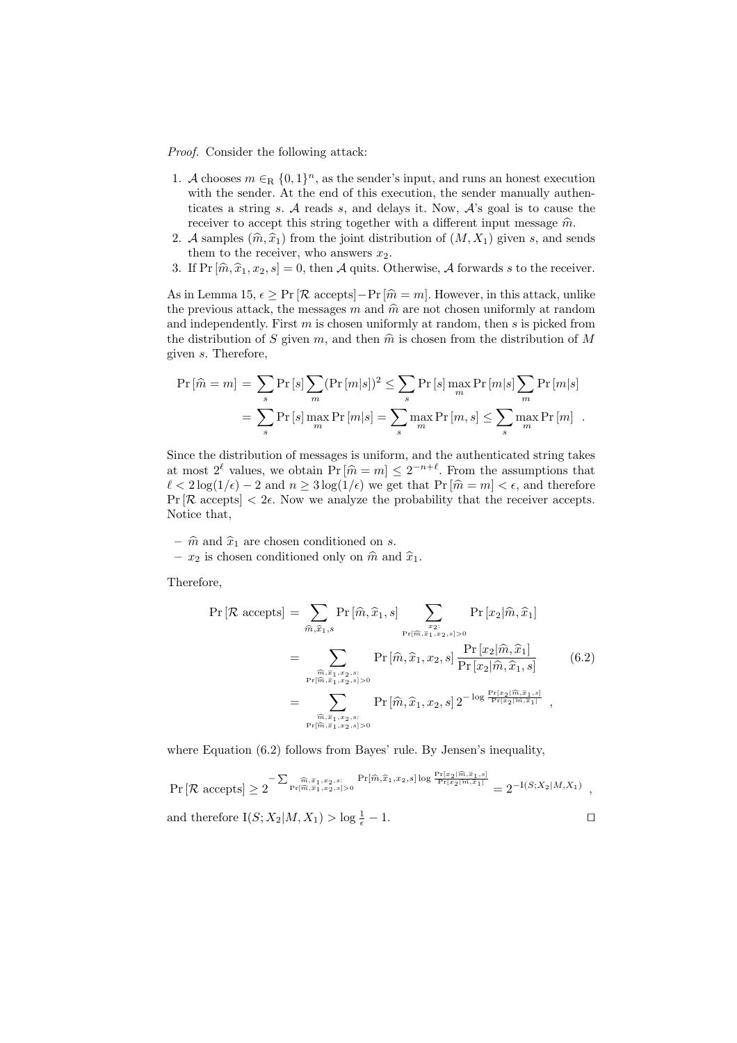Proof. Consider the following attack:

- 1. A chooses  $m \in_R \{0,1\}^n$ , as the sender's input, and runs an honest execution with the sender. At the end of this execution, the sender manually authenticates a string s. A reads s, and delays it. Now,  $A$ 's goal is to cause the receiver to accept this string together with a different input message  $\hat{m}$ .
- 2. A samples  $(\hat{m}, \hat{x}_1)$  from the joint distribution of  $(M, X_1)$  given s, and sends them to the receiver, who answers  $x_2$ .
- 3. If  $Pr[\hat{m}, \hat{x}_1, x_2, s] = 0$ , then A quits. Otherwise, A forwards s to the receiver.

As in Lemma 15,  $\epsilon > \Pr[\mathcal{R} \text{ accepts}] - \Pr[\hat{m} = m]$ . However, in this attack, unlike the previous attack, the messages m and  $\hat{m}$  are not chosen uniformly at random and independently. First  $m$  is chosen uniformly at random, then  $s$  is picked from the distribution of S given m, and then  $\hat{m}$  is chosen from the distribution of M given s. Therefore,

$$
\Pr[\widehat{m} = m] = \sum_{s} \Pr[s] \sum_{m} (\Pr[m|s])^{2} \leq \sum_{s} \Pr[s] \max_{m} \Pr[m|s] \sum_{m} \Pr[m|s] = \sum_{s} \Pr[s] \max_{m} \Pr[m|s] = \sum_{s} \max_{m} \Pr[m,s] \leq \sum_{s} \max_{m} \Pr[m]
$$

Since the distribution of messages is uniform, and the authenticated string takes at most  $2^{\ell}$  values, we obtain  $Pr[\hat{m} = m] \leq 2^{-n+\ell}$ . From the assumptions that  $\ell < 2 \log(1/\epsilon) - 2$  and  $n \geq 3 \log(1/\epsilon)$  we get that Pr  $|\hat{m} = m| < \epsilon$ , and therefore  $Pr[\mathcal{R} \text{ accepts}] < 2\epsilon$ . Now we analyze the probability that the receiver accepts. Notice that,

- $\hat{m}$  and  $\hat{x}_1$  are chosen conditioned on s.
- $x_2$  is chosen conditioned only on  $\hat{m}$  and  $\hat{x}_1$ .

Therefore,

$$
\Pr[\mathcal{R}\text{ accepts}] = \sum_{\widehat{m}, \widehat{x}_1, s} \Pr[\widehat{m}, \widehat{x}_1, s] \sum_{\substack{x_2:\text{Riem}(P; \widehat{x}_1, x_2, s) > 0}} \Pr[x_2 | \widehat{m}, \widehat{x}_1] \n= \sum_{\substack{\widehat{m}, \widehat{x}_1, x_2, s: \\ \Pr[\widehat{m}, \widehat{x}_1, x_2, s) > 0}} \Pr[\widehat{m}, \widehat{x}_1, x_2, s] \frac{\Pr[x_2 | \widehat{m}, \widehat{x}_1]}{\Pr[x_2 | \widehat{m}, \widehat{x}_1, s]} \n= \sum_{\substack{\widehat{m}, \widehat{x}_1, x_2, s: \\ \Pr[\widehat{m}, \widehat{x}_1, x_2, s) > 0}} \Pr[\widehat{m}, \widehat{x}_1, x_2, s] 2^{-\log \frac{\Pr[x_2 | \widehat{m}, \widehat{x}_1, s]}{\Pr[x_2 | \widehat{m}, \widehat{x}_1]}} ,
$$
\n(6.2)

where Equation (6.2) follows from Bayes' rule. By Jensen's inequality,

$$
\Pr\left[\mathcal{R}\text{ accepts}\right] \ge 2^{-\sum_{\substack{\widehat{m}, \widehat{x}_1, x_2, s:\\P_{\mathrm{r}}[\widehat{m}, \widehat{x}_1, x_2, s]>0}} \Pr[\widehat{m}, \widehat{x}_1, x_2, s] \log \frac{\Pr[x_2|\widehat{m}, \widehat{x}_1, s]}{\Pr[x_2|\widehat{m}, \widehat{x}_1]} = 2^{-\mathrm{I}(S; X_2|M, X_1)},
$$
\nand therefore 
$$
\mathrm{I}(S; X_2|M, X_1) > \log \frac{1}{\epsilon} - 1.
$$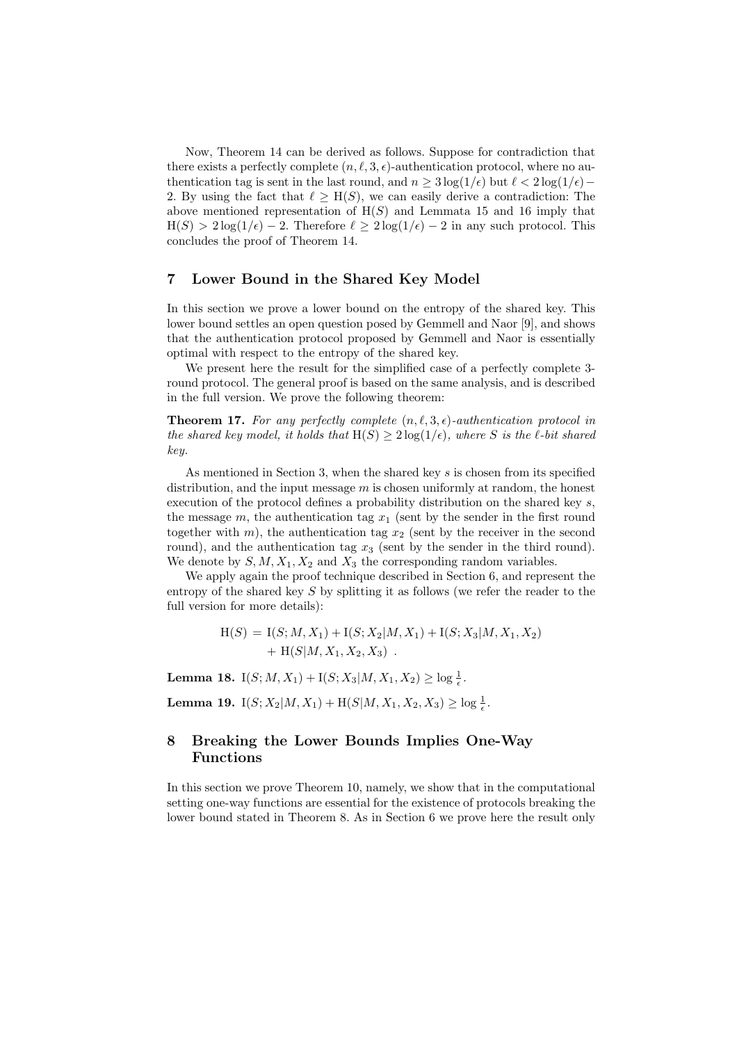Now, Theorem 14 can be derived as follows. Suppose for contradiction that there exists a perfectly complete  $(n, \ell, 3, \epsilon)$ -authentication protocol, where no authentication tag is sent in the last round, and  $n \geq 3 \log(1/\epsilon)$  but  $\ell < 2 \log(1/\epsilon)$ − 2. By using the fact that  $\ell \geq H(S)$ , we can easily derive a contradiction: The above mentioned representation of  $H(S)$  and Lemmata 15 and 16 imply that  $H(S) > 2 \log(1/\epsilon) - 2$ . Therefore  $\ell > 2 \log(1/\epsilon) - 2$  in any such protocol. This concludes the proof of Theorem 14.

## 7 Lower Bound in the Shared Key Model

In this section we prove a lower bound on the entropy of the shared key. This lower bound settles an open question posed by Gemmell and Naor [9], and shows that the authentication protocol proposed by Gemmell and Naor is essentially optimal with respect to the entropy of the shared key.

We present here the result for the simplified case of a perfectly complete 3 round protocol. The general proof is based on the same analysis, and is described in the full version. We prove the following theorem:

**Theorem 17.** For any perfectly complete  $(n, \ell, 3, \epsilon)$ -authentication protocol in the shared key model, it holds that  $H(S) \geq 2 \log(1/\epsilon)$ , where S is the  $\ell$ -bit shared key.

As mentioned in Section 3, when the shared key s is chosen from its specified distribution, and the input message  $m$  is chosen uniformly at random, the honest execution of the protocol defines a probability distribution on the shared key s, the message m, the authentication tag  $x_1$  (sent by the sender in the first round together with  $m$ ), the authentication tag  $x_2$  (sent by the receiver in the second round), and the authentication tag  $x_3$  (sent by the sender in the third round). We denote by  $S, M, X_1, X_2$  and  $X_3$  the corresponding random variables.

We apply again the proof technique described in Section 6, and represent the entropy of the shared key  $S$  by splitting it as follows (we refer the reader to the full version for more details):

$$
H(S) = I(S; M, X_1) + I(S; X_2|M, X_1) + I(S; X_3|M, X_1, X_2) + H(S|M, X_1, X_2, X_3) .
$$

Lemma 18.  $I(S; M, X_1) + I(S; X_3|M, X_1, X_2) \ge \log \frac{1}{\epsilon}$ .

**Lemma 19.** I(S;  $X_2|M, X_1) + H(S|M, X_1, X_2, X_3) \ge \log \frac{1}{\epsilon}$ .

# 8 Breaking the Lower Bounds Implies One-Way Functions

In this section we prove Theorem 10, namely, we show that in the computational setting one-way functions are essential for the existence of protocols breaking the lower bound stated in Theorem 8. As in Section 6 we prove here the result only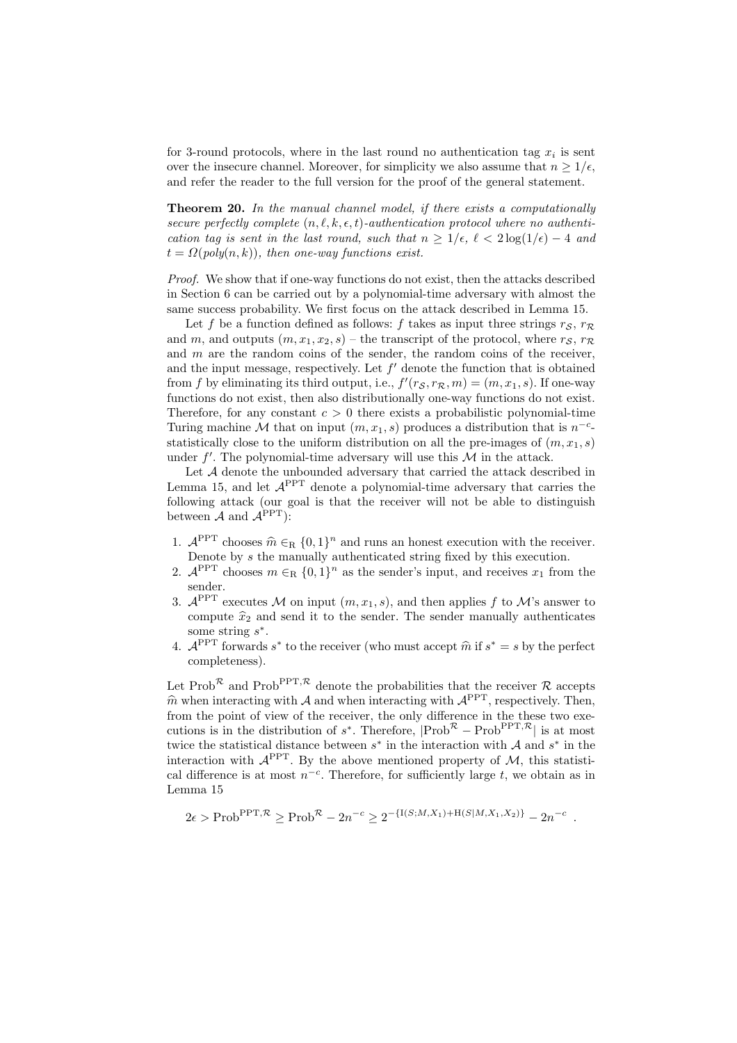for 3-round protocols, where in the last round no authentication tag  $x_i$  is sent over the insecure channel. Moreover, for simplicity we also assume that  $n \geq 1/\epsilon$ , and refer the reader to the full version for the proof of the general statement.

**Theorem 20.** In the manual channel model, if there exists a computationally secure perfectly complete  $(n, \ell, k, \epsilon, t)$ -authentication protocol where no authentication tag is sent in the last round, such that  $n \geq 1/\epsilon$ ,  $\ell < 2 \log(1/\epsilon) - 4$  and  $t = \Omega(\text{poly}(n, k))$ , then one-way functions exist.

Proof. We show that if one-way functions do not exist, then the attacks described in Section 6 can be carried out by a polynomial-time adversary with almost the same success probability. We first focus on the attack described in Lemma 15.

Let f be a function defined as follows: f takes as input three strings  $r_S$ ,  $r_R$ and m, and outputs  $(m, x_1, x_2, s)$  – the transcript of the protocol, where  $r_s$ ,  $r_R$ and  $m$  are the random coins of the sender, the random coins of the receiver, and the input message, respectively. Let  $f'$  denote the function that is obtained from f by eliminating its third output, i.e.,  $f'(r_S, r_R, m) = (m, x_1, s)$ . If one-way functions do not exist, then also distributionally one-way functions do not exist. Therefore, for any constant  $c > 0$  there exists a probabilistic polynomial-time Turing machine M that on input  $(m, x_1, s)$  produces a distribution that is  $n^{-c}$ . statistically close to the uniform distribution on all the pre-images of  $(m, x_1, s)$ under  $f'$ . The polynomial-time adversary will use this  $M$  in the attack.

Let A denote the unbounded adversary that carried the attack described in Lemma 15, and let  $A^{PPT}$  denote a polynomial-time adversary that carries the following attack (our goal is that the receiver will not be able to distinguish between  $\mathcal A$  and  $\mathcal A^{\mathrm{PPT}}$ :

- 1.  $\mathcal{A}^{\text{PPT}}$  chooses  $\hat{m} \in_R \{0, 1\}^n$  and runs an honest execution with the receiver. Denote by s the manually authenticated string fixed by this execution.
- 2.  $\mathcal{A}^{\text{PPT}}$  chooses  $m \in_R \{0,1\}^n$  as the sender's input, and receives  $x_1$  from the sender.
- 3.  $\mathcal{A}^{\text{PPT}}$  executes M on input  $(m, x_1, s)$ , and then applies f to M's answer to compute  $\hat{x}_2$  and send it to the sender. The sender manually authenticates some string  $s^*$ .
- 4.  $\mathcal{A}^{\text{PPT}}$  forwards  $s^*$  to the receiver (who must accept  $\hat{m}$  if  $s^* = s$  by the perfect completeness).

Let Prob<sup>R</sup> and Prob<sup>PPT,R</sup> denote the probabilities that the receiver R accepts  $\hat{m}$  when interacting with A and when interacting with  $\mathcal{A}^{PPT}$ , respectively. Then, from the point of view of the receiver, the only difference in the these two executions is in the distribution of  $s^*$ . Therefore,  $|\text{Prob}^{\mathcal{R}} - \text{Prob}^{\text{PPT}, \mathcal{R}}|$  is at most twice the statistical distance between  $s^*$  in the interaction with A and  $s^*$  in the interaction with  $A^{PPT}$ . By the above mentioned property of M, this statistical difference is at most  $n^{-c}$ . Therefore, for sufficiently large t, we obtain as in Lemma 15

$$
2\epsilon > \text{Prob}^{\text{PPT},\mathcal{R}} \ge \text{Prob}^{\mathcal{R}} - 2n^{-c} \ge 2^{-\{I(S;M,X_1) + \text{H}(S|M,X_1,X_2)\}} - 2n^{-c}.
$$